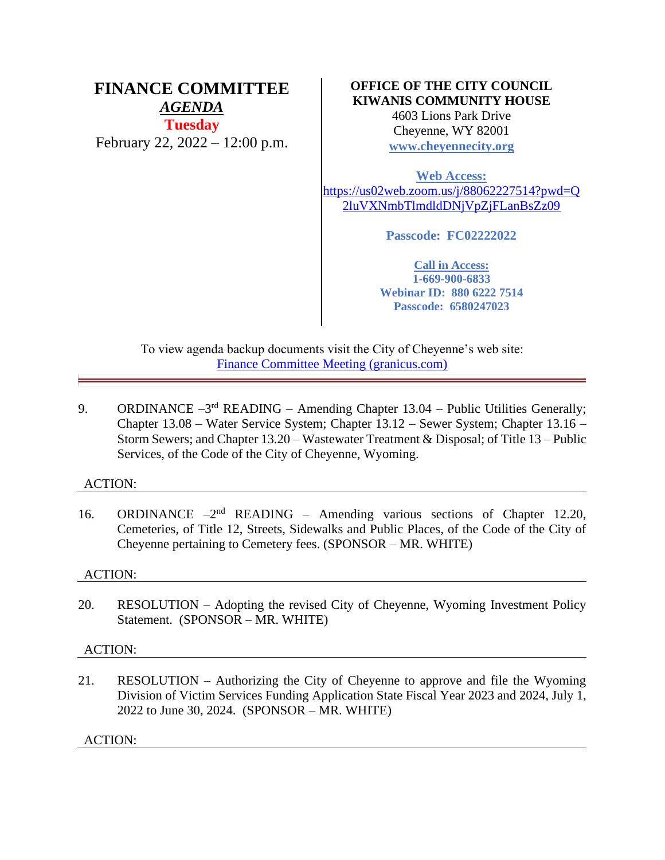# **FINANCE COMMITTEE** *AGENDA* **Tuesday** February 22, 2022 – 12:00 p.m.

## **OFFICE OF THE CITY COUNCIL KIWANIS COMMUNITY HOUSE**

4603 Lions Park Drive Cheyenne, WY 82001 **[www.cheyennecity.org](http://www.cheyennecity.org/)**

**Web Access:** [https://us02web.zoom.us/j/88062227514?pwd=Q](https://us02web.zoom.us/j/88062227514?pwd=Q2luVXNmbTlmdldDNjVpZjFLanBsZz09) [2luVXNmbTlmdldDNjVpZjFLanBsZz09](https://us02web.zoom.us/j/88062227514?pwd=Q2luVXNmbTlmdldDNjVpZjFLanBsZz09)

**Passcode: FC02222022**

**Call in Access: 1-669-900-6833 Webinar ID: 880 6222 7514 Passcode: 6580247023**

To view agenda backup documents visit the City of Cheyenne's web site: [Finance Committee Meeting \(granicus.com\)](https://cheyenne.granicus.com/GeneratedAgendaViewer.php?event_id=1049)

9. ORDINANCE  $-3^{rd}$  READING – Amending Chapter 13.04 – Public Utilities Generally; Chapter 13.08 – Water Service System; Chapter 13.12 – Sewer System; Chapter 13.16 – Storm Sewers; and Chapter 13.20 – Wastewater Treatment & Disposal; of Title 13 – Public Services, of the Code of the City of Cheyenne, Wyoming.

## ACTION:

16. ORDINANCE -2<sup>nd</sup> READING - Amending various sections of Chapter 12.20, Cemeteries, of Title 12, Streets, Sidewalks and Public Places, of the Code of the City of Cheyenne pertaining to Cemetery fees. (SPONSOR – MR. WHITE)

## ACTION:

20. RESOLUTION – Adopting the revised City of Cheyenne, Wyoming Investment Policy Statement. (SPONSOR – MR. WHITE)

## ACTION:

21. RESOLUTION – Authorizing the City of Cheyenne to approve and file the Wyoming Division of Victim Services Funding Application State Fiscal Year 2023 and 2024, July 1, 2022 to June 30, 2024. (SPONSOR – MR. WHITE)

ACTION: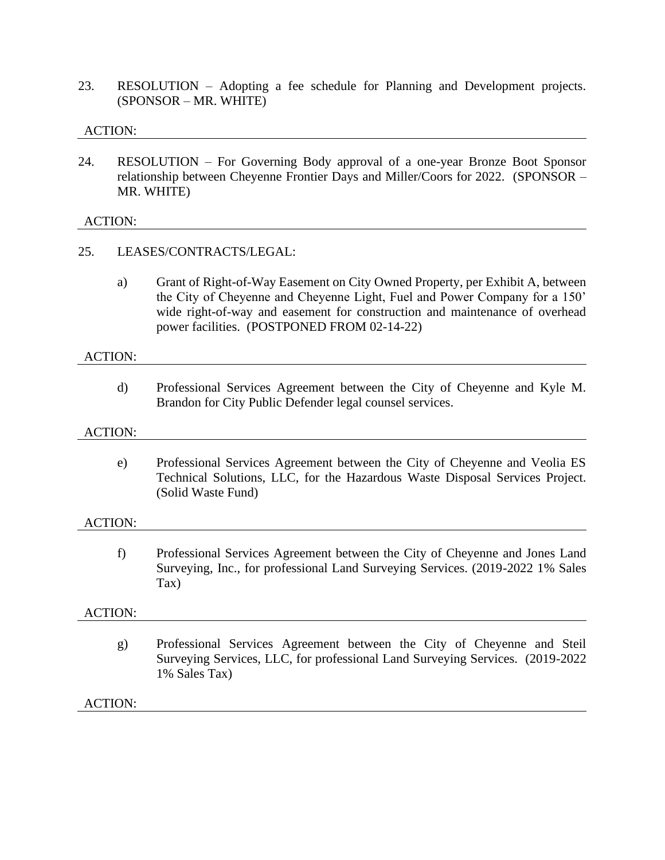23. RESOLUTION – Adopting a fee schedule for Planning and Development projects. (SPONSOR – MR. WHITE)

#### ACTION:

24. RESOLUTION – For Governing Body approval of a one-year Bronze Boot Sponsor relationship between Cheyenne Frontier Days and Miller/Coors for 2022. (SPONSOR – MR. WHITE)

#### ACTION:

#### 25. LEASES/CONTRACTS/LEGAL:

a) Grant of Right-of-Way Easement on City Owned Property, per Exhibit A, between the City of Cheyenne and Cheyenne Light, Fuel and Power Company for a 150' wide right-of-way and easement for construction and maintenance of overhead power facilities. (POSTPONED FROM 02-14-22)

#### ACTION:

d) Professional Services Agreement between the City of Cheyenne and Kyle M. Brandon for City Public Defender legal counsel services.

#### ACTION:

e) Professional Services Agreement between the City of Cheyenne and Veolia ES Technical Solutions, LLC, for the Hazardous Waste Disposal Services Project. (Solid Waste Fund)

#### ACTION:

f) Professional Services Agreement between the City of Cheyenne and Jones Land Surveying, Inc., for professional Land Surveying Services. (2019-2022 1% Sales Tax)

#### ACTION:

g) Professional Services Agreement between the City of Cheyenne and Steil Surveying Services, LLC, for professional Land Surveying Services. (2019-2022 1% Sales Tax)

#### ACTION: